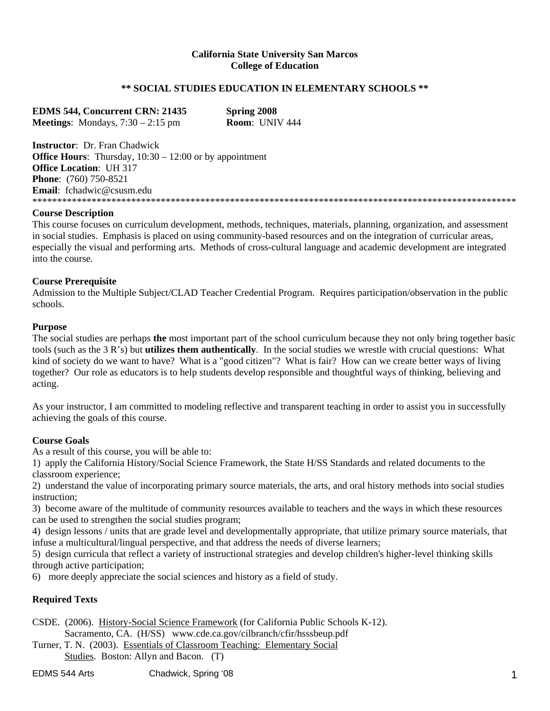### **California State University San Marcos College of Education**

### **\*\* SOCIAL STUDIES EDUCATION IN ELEMENTARY SCHOOLS \*\***

| <b>EDMS 544, Concurrent CRN: 21435</b>     | <b>Spring 2008</b>    |
|--------------------------------------------|-----------------------|
| <b>Meetings:</b> Mondays, $7:30 - 2:15$ pm | <b>Room:</b> UNIV 444 |

**Instructor**: Dr. Fran Chadwick **Office Hours**: Thursday,  $10:30 - 12:00$  or by appointment **Office Location**: UH 317 **Phone**: (760) 750-8521 **Email**: fchadwic@csusm.edu \*\*\*\*\*\*\*\*\*\*\*\*\*\*\*\*\*\*\*\*\*\*\*\*\*\*\*\*\*\*\*\*\*\*\*\*\*\*\*\*\*\*\*\*\*\*\*\*\*\*\*\*\*\*\*\*\*\*\*\*\*\*\*\*\*\*\*\*\*\*\*\*\*\*\*\*\*\*\*\*\*\*\*\*\*\*\*\*\*\*\*\*\*\*\*\*\*\*

### **Course Description**

This course focuses on curriculum development, methods, techniques, materials, planning, organization, and assessment in social studies. Emphasis is placed on using community-based resources and on the integration of curricular areas, especially the visual and performing arts. Methods of cross-cultural language and academic development are integrated into the course.

### **Course Prerequisite**

Admission to the Multiple Subject/CLAD Teacher Credential Program. Requires participation/observation in the public schools.

### **Purpose**

The social studies are perhaps **the** most important part of the school curriculum because they not only bring together basic tools (such as the 3 R's) but **utilizes them authentically**. In the social studies we wrestle with crucial questions: What kind of society do we want to have? What is a "good citizen"? What is fair? How can we create better ways of living together? Our role as educators is to help students develop responsible and thoughtful ways of thinking, believing and acting.

As your instructor, I am committed to modeling reflective and transparent teaching in order to assist you in successfully achieving the goals of this course.

### **Course Goals**

As a result of this course, you will be able to:

1) apply the California History/Social Science Framework, the State H/SS Standards and related documents to the classroom experience;

2) understand the value of incorporating primary source materials, the arts, and oral history methods into social studies instruction;

3) become aware of the multitude of community resources available to teachers and the ways in which these resources can be used to strengthen the social studies program;

4) design lessons / units that are grade level and developmentally appropriate, that utilize primary source materials, that infuse a multicultural/lingual perspective, and that address the needs of diverse learners;

5) design curricula that reflect a variety of instructional strategies and develop children's higher-level thinking skills through active participation;

6) more deeply appreciate the social sciences and history as a field of study.

### **Required Texts**

CSDE. (2006). History-Social Science Framework (for California Public Schools K-12). Sacramento, CA. (H/SS) www.cde.ca.gov/cilbranch/cfir/hsssbeup.pdf

Turner, T. N. (2003). Essentials of Classroom Teaching: Elementary Social Studies. Boston: Allyn and Bacon. (T)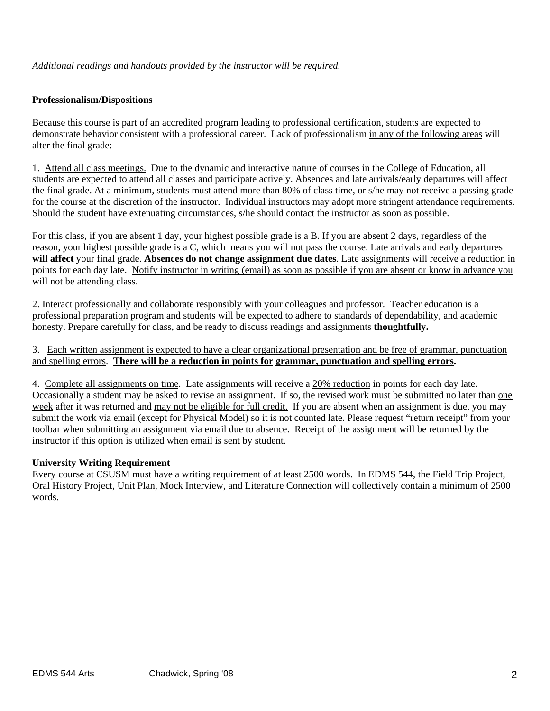### **Professionalism/Dispositions**

Because this course is part of an accredited program leading to professional certification, students are expected to demonstrate behavior consistent with a professional career. Lack of professionalism in any of the following areas will alter the final grade:

1. Attend all class meetings. Due to the dynamic and interactive nature of courses in the College of Education, all students are expected to attend all classes and participate actively. Absences and late arrivals/early departures will affect the final grade. At a minimum, students must attend more than 80% of class time, or s/he may not receive a passing grade for the course at the discretion of the instructor. Individual instructors may adopt more stringent attendance requirements. Should the student have extenuating circumstances, s/he should contact the instructor as soon as possible.

For this class, if you are absent 1 day, your highest possible grade is a B. If you are absent 2 days, regardless of the reason, your highest possible grade is a C, which means you will not pass the course. Late arrivals and early departures **will affect** your final grade. **Absences do not change assignment due dates**. Late assignments will receive a reduction in points for each day late. Notify instructor in writing (email) as soon as possible if you are absent or know in advance you will not be attending class.

2. Interact professionally and collaborate responsibly with your colleagues and professor. Teacher education is a professional preparation program and students will be expected to adhere to standards of dependability, and academic honesty. Prepare carefully for class, and be ready to discuss readings and assignments **thoughtfully.** 

3. Each written assignment is expected to have a clear organizational presentation and be free of grammar, punctuation and spelling errors. **There will be a reduction in points for grammar, punctuation and spelling errors.** 

4. Complete all assignments on time. Late assignments will receive a 20% reduction in points for each day late. Occasionally a student may be asked to revise an assignment. If so, the revised work must be submitted no later than one week after it was returned and may not be eligible for full credit. If you are absent when an assignment is due, you may submit the work via email (except for Physical Model) so it is not counted late. Please request "return receipt" from your toolbar when submitting an assignment via email due to absence. Receipt of the assignment will be returned by the instructor if this option is utilized when email is sent by student.

### **University Writing Requirement**

Every course at CSUSM must have a writing requirement of at least 2500 words. In EDMS 544, the Field Trip Project, Oral History Project, Unit Plan, Mock Interview, and Literature Connection will collectively contain a minimum of 2500 words.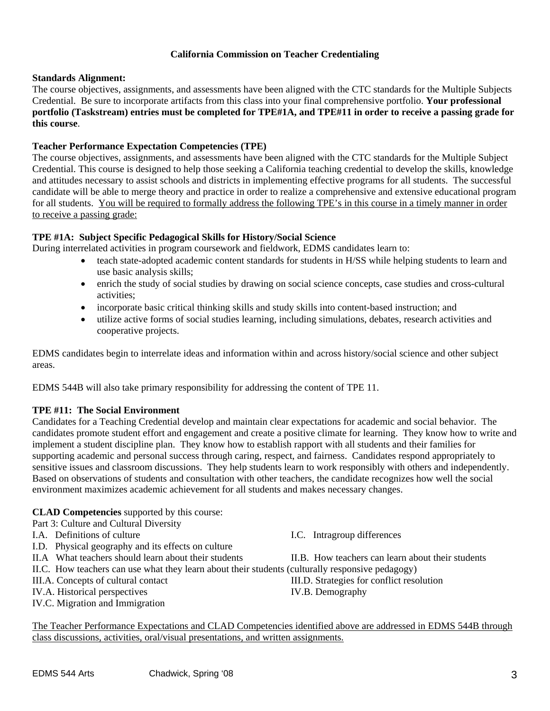## **California Commission on Teacher Credentialing**

### **Standards Alignment:**

The course objectives, assignments, and assessments have been aligned with the CTC standards for the Multiple Subjects Credential. Be sure to incorporate artifacts from this class into your final comprehensive portfolio. **Your professional portfolio (Taskstream) entries must be completed for TPE#1A, and TPE#11 in order to receive a passing grade for this course**.

### **Teacher Performance Expectation Competencies (TPE)**

The course objectives, assignments, and assessments have been aligned with the CTC standards for the Multiple Subject Credential. This course is designed to help those seeking a California teaching credential to develop the skills, knowledge and attitudes necessary to assist schools and districts in implementing effective programs for all students. The successful candidate will be able to merge theory and practice in order to realize a comprehensive and extensive educational program for all students. You will be required to formally address the following TPE's in this course in a timely manner in order to receive a passing grade:

## **TPE #1A: Subject Specific Pedagogical Skills for History/Social Science**

During interrelated activities in program coursework and fieldwork, EDMS candidates learn to:

- teach state-adopted academic content standards for students in H/SS while helping students to learn and use basic analysis skills;
- enrich the study of social studies by drawing on social science concepts, case studies and cross-cultural activities;
- incorporate basic critical thinking skills and study skills into content-based instruction; and
- utilize active forms of social studies learning, including simulations, debates, research activities and cooperative projects.

EDMS candidates begin to interrelate ideas and information within and across history/social science and other subject areas.

EDMS 544B will also take primary responsibility for addressing the content of TPE 11.

### **TPE #11: The Social Environment**

Candidates for a Teaching Credential develop and maintain clear expectations for academic and social behavior. The candidates promote student effort and engagement and create a positive climate for learning. They know how to write and implement a student discipline plan. They know how to establish rapport with all students and their families for supporting academic and personal success through caring, respect, and fairness. Candidates respond appropriately to sensitive issues and classroom discussions. They help students learn to work responsibly with others and independently. Based on observations of students and consultation with other teachers, the candidate recognizes how well the social environment maximizes academic achievement for all students and makes necessary changes.

### **CLAD Competencies** supported by this course:

Part 3: Culture and Cultural Diversity

- I.A. Definitions of culture I.C. Intragroup differences
- I.D. Physical geography and its effects on culture
- 
- II.C. How teachers can use what they learn about their students (culturally responsive pedagogy)
- 
- IV.A. Historical perspectives IV.B. Demography
- IV.C. Migration and Immigration

II.A What teachers should learn about their students II.B. How teachers can learn about their students

III.A. Concepts of cultural contact III.D. Strategies for conflict resolution

The Teacher Performance Expectations and CLAD Competencies identified above are addressed in EDMS 544B through class discussions, activities, oral/visual presentations, and written assignments.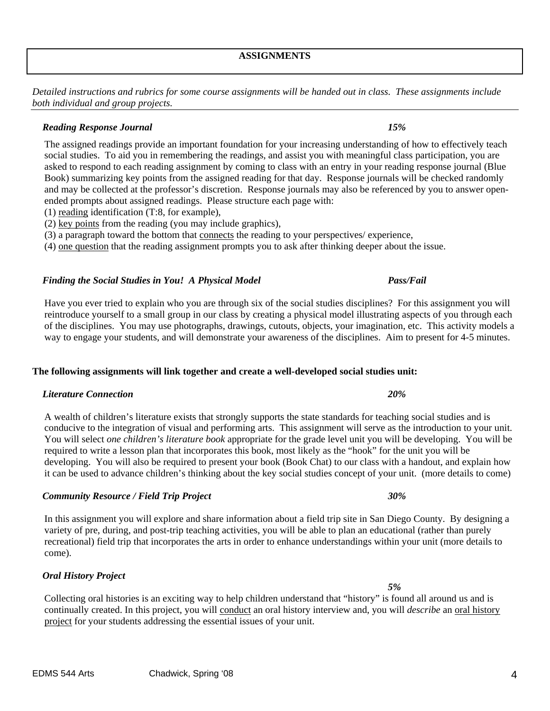## **ASSIGNMENTS**

*Detailed instructions and rubrics for some course assignments will be handed out in class. These assignments include both individual and group projects.* 

# *Reading Response Journal 15%*

The assigned readings provide an important foundation for your increasing understanding of how to effectively teach social studies. To aid you in remembering the readings, and assist you with meaningful class participation, you are asked to respond to each reading assignment by coming to class with an entry in your reading response journal (Blue Book) summarizing key points from the assigned reading for that day. Response journals will be checked randomly and may be collected at the professor's discretion. Response journals may also be referenced by you to answer openended prompts about assigned readings. Please structure each page with:

- (1) reading identification (T:8, for example),
- (2) key points from the reading (you may include graphics),
- (3) a paragraph toward the bottom that connects the reading to your perspectives/ experience,

(4) one question that the reading assignment prompts you to ask after thinking deeper about the issue.

## *Finding the Social Studies in You! A Physical Model Pass/Fail*

Have you ever tried to explain who you are through six of the social studies disciplines? For this assignment you will reintroduce yourself to a small group in our class by creating a physical model illustrating aspects of you through each of the disciplines. You may use photographs, drawings, cutouts, objects, your imagination, etc. This activity models a way to engage your students, and will demonstrate your awareness of the disciplines. Aim to present for 4-5 minutes.

### **The following assignments will link together and create a well-developed social studies unit:**

### *Literature Connection 20%*

### A wealth of children's literature exists that strongly supports the state standards for teaching social studies and is conducive to the integration of visual and performing arts. This assignment will serve as the introduction to your unit. You will select *one children's literature book* appropriate for the grade level unit you will be developing. You will be required to write a lesson plan that incorporates this book, most likely as the "hook" for the unit you will be developing. You will also be required to present your book (Book Chat) to our class with a handout, and explain how it can be used to advance children's thinking about the key social studies concept of your unit. (more details to come)

### *Community Resource / Field Trip Project 30%*

In this assignment you will explore and share information about a field trip site in San Diego County. By designing a variety of pre, during, and post-trip teaching activities, you will be able to plan an educational (rather than purely recreational) field trip that incorporates the arts in order to enhance understandings within your unit (more details to come).

### *Oral History Project*

 *5%* Collecting oral histories is an exciting way to help children understand that "history" is found all around us and is continually created. In this project, you will conduct an oral history interview and, you will *describe* an oral history project for your students addressing the essential issues of your unit.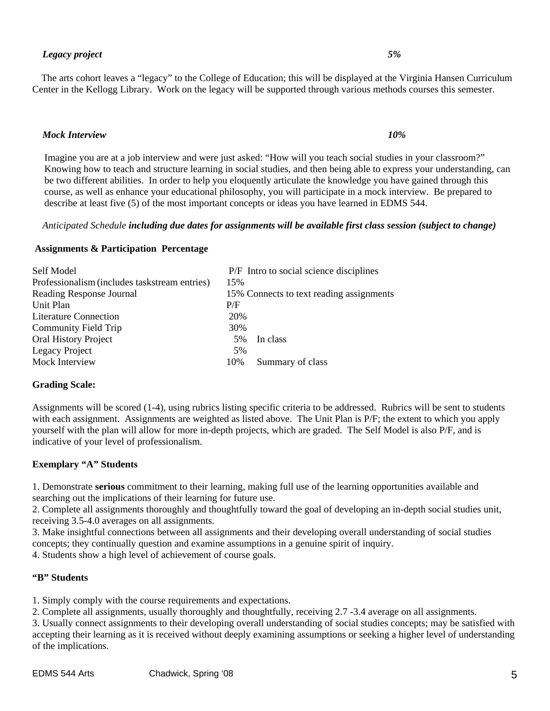The arts cohort leaves a "legacy" to the College of Education; this will be displayed at the Virginia Hansen Curriculum Center in the Kellogg Library. Work on the legacy will be supported through various methods courses this semester.

## *Mock Interview 10%*

Imagine you are at a job interview and were just asked: "How will you teach social studies in your classroom?" Knowing how to teach and structure learning in social studies, and then being able to express your understanding, can be two different abilities. In order to help you eloquently articulate the knowledge you have gained through this course, as well as enhance your educational philosophy, you will participate in a mock interview. Be prepared to describe at least five (5) of the most important concepts or ideas you have learned in EDMS 544.

# *Anticipated Schedule including due dates for assignments will be available first class session (subject to change)*

## **Assignments & Participation Percentage**

| Self Model                                    |     | P/F Intro to social science disciplines  |
|-----------------------------------------------|-----|------------------------------------------|
| Professionalism (includes taskstream entries) | 15% |                                          |
| Reading Response Journal                      |     | 15% Connects to text reading assignments |
| Unit Plan                                     | P/F |                                          |
| <b>Literature Connection</b>                  | 20% |                                          |
| Community Field Trip                          | 30% |                                          |
| <b>Oral History Project</b>                   | 5%  | In class                                 |
| Legacy Project                                | 5%  |                                          |
| Mock Interview                                | 10% | Summary of class                         |

# **Grading Scale:**

Assignments will be scored (1-4), using rubrics listing specific criteria to be addressed. Rubrics will be sent to students with each assignment. Assignments are weighted as listed above. The Unit Plan is P/F; the extent to which you apply yourself with the plan will allow for more in-depth projects, which are graded. The Self Model is also P/F, and is indicative of your level of professionalism.

# **Exemplary "A" Students**

1. Demonstrate **serious** commitment to their learning, making full use of the learning opportunities available and searching out the implications of their learning for future use.

2. Complete all assignments thoroughly and thoughtfully toward the goal of developing an in-depth social studies unit, receiving 3.5-4.0 averages on all assignments.

3. Make insightful connections between all assignments and their developing overall understanding of social studies concepts; they continually question and examine assumptions in a genuine spirit of inquiry.

4. Students show a high level of achievement of course goals.

# **"B" Students**

1. Simply comply with the course requirements and expectations.

2. Complete all assignments, usually thoroughly and thoughtfully, receiving 2.7 -3.4 average on all assignments.

3. Usually connect assignments to their developing overall understanding of social studies concepts; may be satisfied with accepting their learning as it is received without deeply examining assumptions or seeking a higher level of understanding of the implications.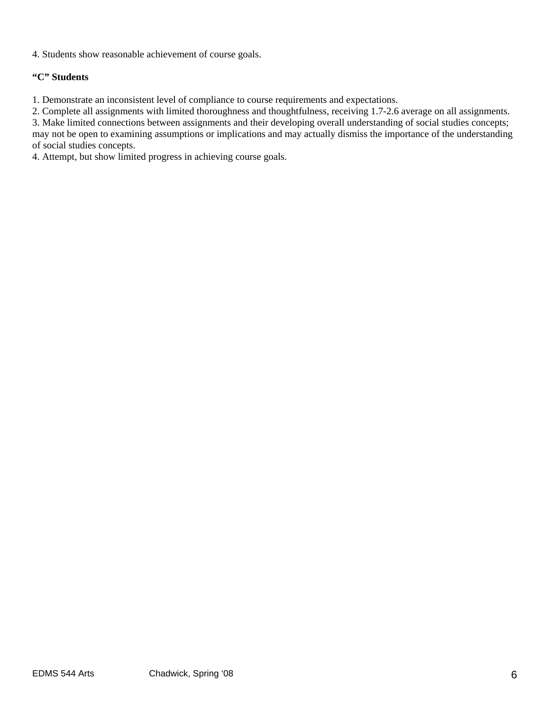4. Students show reasonable achievement of course goals.

# **"C" Students**

1. Demonstrate an inconsistent level of compliance to course requirements and expectations.

2. Complete all assignments with limited thoroughness and thoughtfulness, receiving 1.7-2.6 average on all assignments.

3. Make limited connections between assignments and their developing overall understanding of social studies concepts; may not be open to examining assumptions or implications and may actually dismiss the importance of the understanding of social studies concepts.

4. Attempt, but show limited progress in achieving course goals.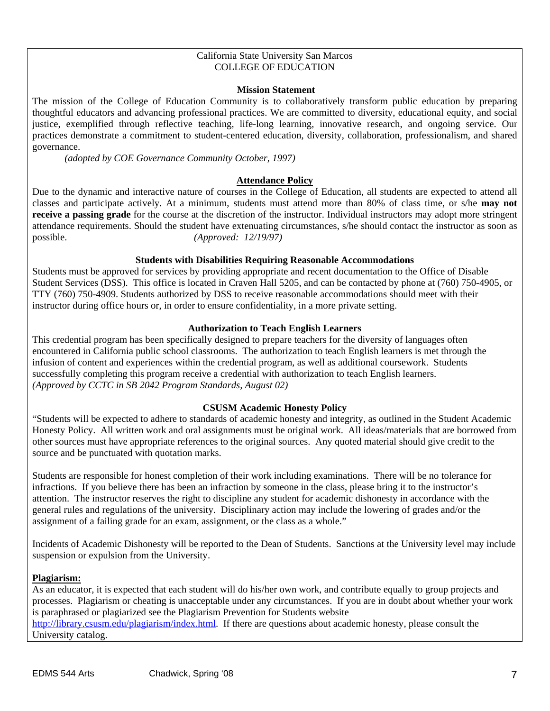### California State University San Marcos COLLEGE OF EDUCATION

### **Mission Statement**

The mission of the College of Education Community is to collaboratively transform public education by preparing thoughtful educators and advancing professional practices. We are committed to diversity, educational equity, and social justice, exemplified through reflective teaching, life-long learning, innovative research, and ongoing service. Our practices demonstrate a commitment to student-centered education, diversity, collaboration, professionalism, and shared governance.

*(adopted by COE Governance Community October, 1997)*

# **Attendance Policy**

Due to the dynamic and interactive nature of courses in the College of Education, all students are expected to attend all classes and participate actively. At a minimum, students must attend more than 80% of class time, or s/he **may not receive a passing grade** for the course at the discretion of the instructor. Individual instructors may adopt more stringent attendance requirements. Should the student have extenuating circumstances, s/he should contact the instructor as soon as possible. *(Approved: 12/19/97)* 

## **Students with Disabilities Requiring Reasonable Accommodations**

Students must be approved for services by providing appropriate and recent documentation to the Office of Disable Student Services (DSS). This office is located in Craven Hall 5205, and can be contacted by phone at (760) 750-4905, or TTY (760) 750-4909. Students authorized by DSS to receive reasonable accommodations should meet with their instructor during office hours or, in order to ensure confidentiality, in a more private setting.

### **Authorization to Teach English Learners**

This credential program has been specifically designed to prepare teachers for the diversity of languages often encountered in California public school classrooms. The authorization to teach English learners is met through the infusion of content and experiences within the credential program, as well as additional coursework. Students successfully completing this program receive a credential with authorization to teach English learners. *(Approved by CCTC in SB 2042 Program Standards, August 02)*

### **CSUSM Academic Honesty Policy**

"Students will be expected to adhere to standards of academic honesty and integrity, as outlined in the Student Academic Honesty Policy. All written work and oral assignments must be original work. All ideas/materials that are borrowed from other sources must have appropriate references to the original sources. Any quoted material should give credit to the source and be punctuated with quotation marks.

Students are responsible for honest completion of their work including examinations. There will be no tolerance for infractions. If you believe there has been an infraction by someone in the class, please bring it to the instructor's attention. The instructor reserves the right to discipline any student for academic dishonesty in accordance with the general rules and regulations of the university. Disciplinary action may include the lowering of grades and/or the assignment of a failing grade for an exam, assignment, or the class as a whole."

Incidents of Academic Dishonesty will be reported to the Dean of Students. Sanctions at the University level may include suspension or expulsion from the University.

### **Plagiarism:**

As an educator, it is expected that each student will do his/her own work, and contribute equally to group projects and processes. Plagiarism or cheating is unacceptable under any circumstances. If you are in doubt about whether your work is paraphrased or plagiarized see the Plagiarism Prevention for Students website http://library.csusm.edu/plagiarism/index.html. If there are questions about academic honesty, please consult the University catalog.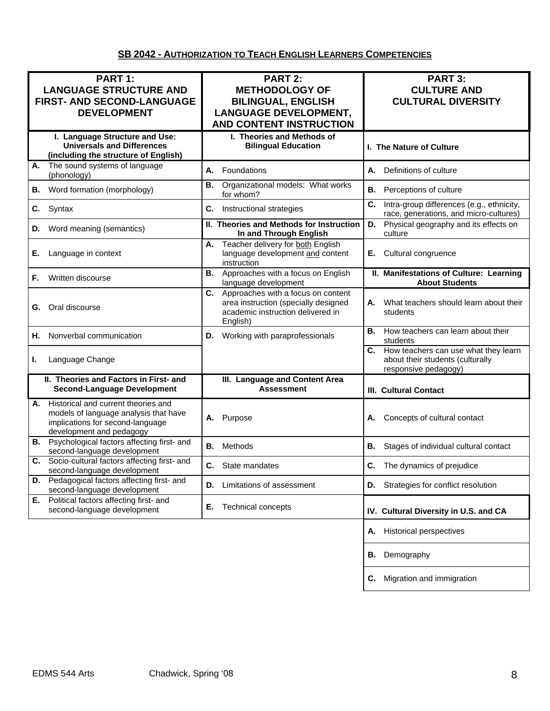# **SB 2042 - AUTHORIZATION TO TEACH ENGLISH LEARNERS COMPETENCIES**

| PART 1:<br><b>LANGUAGE STRUCTURE AND</b><br>FIRST- AND SECOND-LANGUAGE<br><b>DEVELOPMENT</b>                                                       | PART 2:<br><b>METHODOLOGY OF</b><br><b>BILINGUAL, ENGLISH</b><br><b>LANGUAGE DEVELOPMENT,</b><br><b>AND CONTENT INSTRUCTION</b> | PART 3:<br><b>CULTURE AND</b><br><b>CULTURAL DIVERSITY</b>                                             |
|----------------------------------------------------------------------------------------------------------------------------------------------------|---------------------------------------------------------------------------------------------------------------------------------|--------------------------------------------------------------------------------------------------------|
| I. Language Structure and Use:<br><b>Universals and Differences</b><br>(including the structure of English)                                        | I. Theories and Methods of<br><b>Bilingual Education</b>                                                                        | I. The Nature of Culture                                                                               |
| The sound systems of language<br>А.<br>(phonology)                                                                                                 | А.<br>Foundations                                                                                                               | Definitions of culture<br>А.                                                                           |
| Word formation (morphology)<br>В.                                                                                                                  | Organizational models: What works<br>В.<br>for whom?                                                                            | В.<br>Perceptions of culture                                                                           |
| C.<br>Syntax                                                                                                                                       | C.<br>Instructional strategies                                                                                                  | C.<br>Intra-group differences (e.g., ethnicity,<br>race, generations, and micro-cultures)              |
| Word meaning (semantics)<br>D.                                                                                                                     | II. Theories and Methods for Instruction<br>In and Through English                                                              | D.<br>Physical geography and its effects on<br>culture                                                 |
| Language in context<br>Е.                                                                                                                          | Teacher delivery for both English<br>А.<br>language development and content<br>instruction                                      | Cultural congruence<br>Е.                                                                              |
| Written discourse<br>F.                                                                                                                            | Approaches with a focus on English<br>В.<br>language development                                                                | II. Manifestations of Culture: Learning<br><b>About Students</b>                                       |
| Oral discourse<br>G.                                                                                                                               | C. Approaches with a focus on content<br>area instruction (specially designed<br>academic instruction delivered in<br>English)  | What teachers should learn about their<br>А.<br>students                                               |
| Nonverbal communication<br>Н.                                                                                                                      | Working with paraprofessionals<br>D.                                                                                            | В.<br>How teachers can learn about their<br>students                                                   |
| Language Change<br>L.                                                                                                                              |                                                                                                                                 | How teachers can use what they learn<br>C.<br>about their students (culturally<br>responsive pedagogy) |
| II. Theories and Factors in First- and<br><b>Second-Language Development</b>                                                                       | III. Language and Content Area<br><b>Assessment</b>                                                                             | <b>III. Cultural Contact</b>                                                                           |
| Historical and current theories and<br>А.<br>models of language analysis that have<br>implications for second-language<br>development and pedagogy | Purpose<br>А.                                                                                                                   | Concepts of cultural contact<br>А.                                                                     |
| <b>B.</b> Psychological factors affecting first- and<br>second-language development                                                                | Methods<br>В.                                                                                                                   | В.<br>Stages of individual cultural contact                                                            |
| Socio-cultural factors affecting first- and<br>C.<br>second-language development                                                                   | C. State mandates                                                                                                               | C. The dynamics of prejudice                                                                           |
| Pedagogical factors affecting first- and<br>D.<br>second-language development                                                                      | Limitations of assessment<br>D.                                                                                                 | Strategies for conflict resolution<br>D.                                                               |
| Political factors affecting first- and<br>Е.<br>second-language development                                                                        | Е.<br><b>Technical concepts</b>                                                                                                 | IV. Cultural Diversity in U.S. and CA                                                                  |
|                                                                                                                                                    |                                                                                                                                 | <b>Historical perspectives</b><br>Α.                                                                   |
|                                                                                                                                                    |                                                                                                                                 | Demography<br>В.                                                                                       |
|                                                                                                                                                    |                                                                                                                                 | Migration and immigration<br>C.                                                                        |